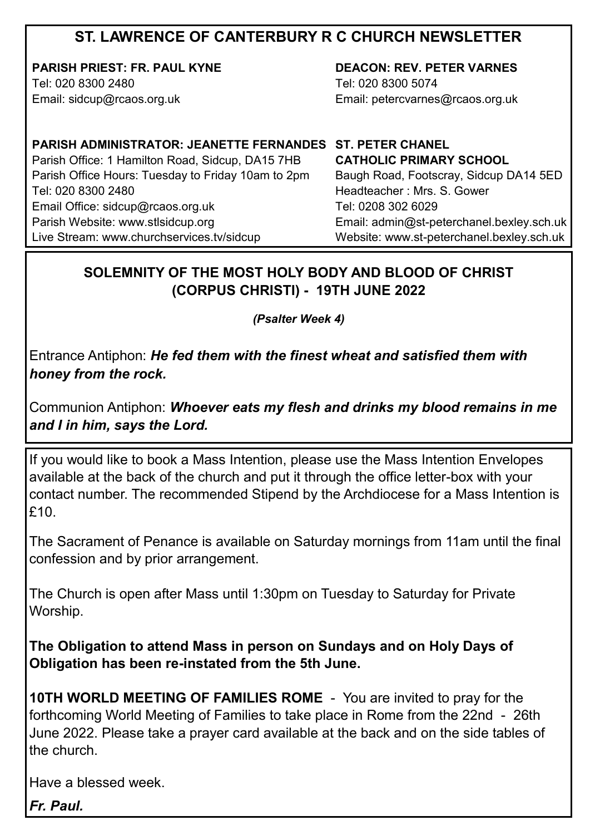# **ST. LAWRENCE OF CANTERBURY R C CHURCH NEWSLETTER**

**PARISH PRIEST: FR. PAUL KYNE** Tel: 020 8300 2480

Email: sidcup@rcaos.org.uk

**DEACON: REV. PETER VARNES**  Tel: 020 8300 5074 Email: petercvarnes@rcaos.org.uk

**PARISH ADMINISTRATOR: JEANETTE FERNANDES ST. PETER CHANEL** Parish Office: 1 Hamilton Road, Sidcup, DA15 7HB Parish Office Hours: Tuesday to Friday 10am to 2pm Tel: 020 8300 2480 Email Office: sidcup@rcaos.org.uk Parish Website: www.stlsidcup.org Live Stream: www.churchservices.tv/sidcup

**CATHOLIC PRIMARY SCHOOL**  Baugh Road, Footscray, Sidcup DA14 5ED Headteacher : Mrs. S. Gower Tel: 0208 302 6029 Email: admin@st-peterchanel.bexley.sch.uk Website: www.st-peterchanel.bexley.sch.uk

### **SOLEMNITY OF THE MOST HOLY BODY AND BLOOD OF CHRIST (CORPUS CHRISTI) - 19TH JUNE 2022**

*(Psalter Week 4)*

Entrance Antiphon: *He fed them with the finest wheat and satisfied them with honey from the rock.*

Communion Antiphon: *Whoever eats my flesh and drinks my blood remains in me and I in him, says the Lord.*

If you would like to book a Mass Intention, please use the Mass Intention Envelopes available at the back of the church and put it through the office letter-box with your contact number. The recommended Stipend by the Archdiocese for a Mass Intention is £10.

The Sacrament of Penance is available on Saturday mornings from 11am until the final confession and by prior arrangement.

The Church is open after Mass until 1:30pm on Tuesday to Saturday for Private Worship.

**The Obligation to attend Mass in person on Sundays and on Holy Days of Obligation has been re-instated from the 5th June.** 

**10TH WORLD MEETING OF FAMILIES ROME** - You are invited to pray for the forthcoming World Meeting of Families to take place in Rome from the 22nd - 26th June 2022. Please take a prayer card available at the back and on the side tables of the church.

Have a blessed week.

*Fr. Paul.*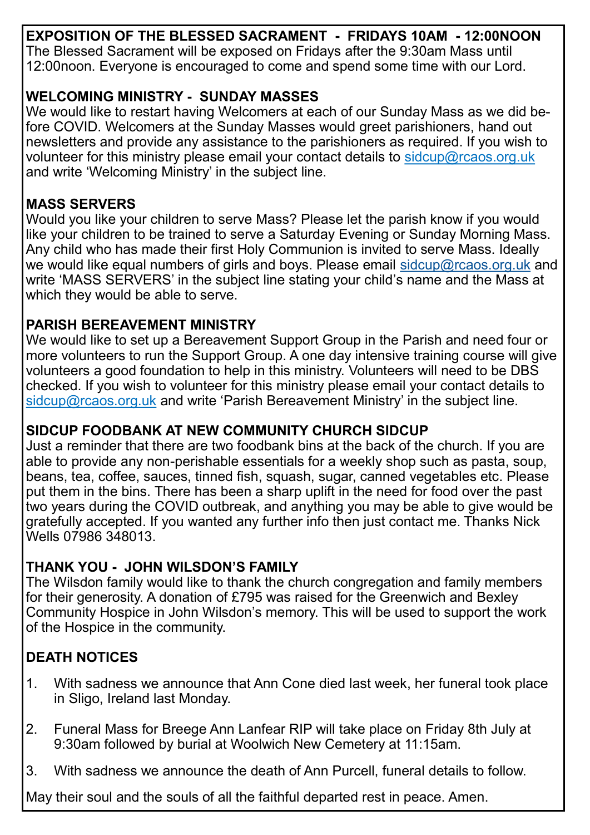**EXPOSITION OF THE BLESSED SACRAMENT - FRIDAYS 10AM - 12:00NOON** The Blessed Sacrament will be exposed on Fridays after the 9:30am Mass until 12:00noon. Everyone is encouraged to come and spend some time with our Lord.

#### **WELCOMING MINISTRY - SUNDAY MASSES**

We would like to restart having Welcomers at each of our Sunday Mass as we did before COVID. Welcomers at the Sunday Masses would greet parishioners, hand out newsletters and provide any assistance to the parishioners as required. If you wish to volunteer for this ministry please email your contact details to sidcup@rcaos.org.uk and write 'Welcoming Ministry' in the subject line.

# **MASS SERVERS**

Would you like your children to serve Mass? Please let the parish know if you would like your children to be trained to serve a Saturday Evening or Sunday Morning Mass. Any child who has made their first Holy Communion is invited to serve Mass. Ideally we would like equal numbers of girls and boys. Please email [sidcup@rcaos.org.uk](mailto:sidcup@rcaos.org.uk) and write 'MASS SERVERS' in the subject line stating your child's name and the Mass at which they would be able to serve.

# **PARISH BEREAVEMENT MINISTRY**

We would like to set up a Bereavement Support Group in the Parish and need four or more volunteers to run the Support Group. A one day intensive training course will give volunteers a good foundation to help in this ministry. Volunteers will need to be DBS checked. If you wish to volunteer for this ministry please email your contact details to sidcup@rcaos.org.uk and write 'Parish Bereavement Ministry' in the subject line.

# **SIDCUP FOODBANK AT NEW COMMUNITY CHURCH SIDCUP**

Just a reminder that there are two foodbank bins at the back of the church. If you are able to provide any non-perishable essentials for a weekly shop such as pasta, soup, beans, tea, coffee, sauces, tinned fish, squash, sugar, canned vegetables etc. Please put them in the bins. There has been a sharp uplift in the need for food over the past two years during the COVID outbreak, and anything you may be able to give would be gratefully accepted. If you wanted any further info then just contact me. Thanks Nick Wells 07986 348013.

#### **THANK YOU - JOHN WILSDON'S FAMILY**

The Wilsdon family would like to thank the church congregation and family members for their generosity. A donation of £795 was raised for the Greenwich and Bexley Community Hospice in John Wilsdon's memory. This will be used to support the work of the Hospice in the community.

# **DEATH NOTICES**

- 1. With sadness we announce that Ann Cone died last week, her funeral took place in Sligo, Ireland last Monday.
- 2. Funeral Mass for Breege Ann Lanfear RIP will take place on Friday 8th July at 9:30am followed by burial at Woolwich New Cemetery at 11:15am.
- 3. With sadness we announce the death of Ann Purcell, funeral details to follow.

May their soul and the souls of all the faithful departed rest in peace. Amen.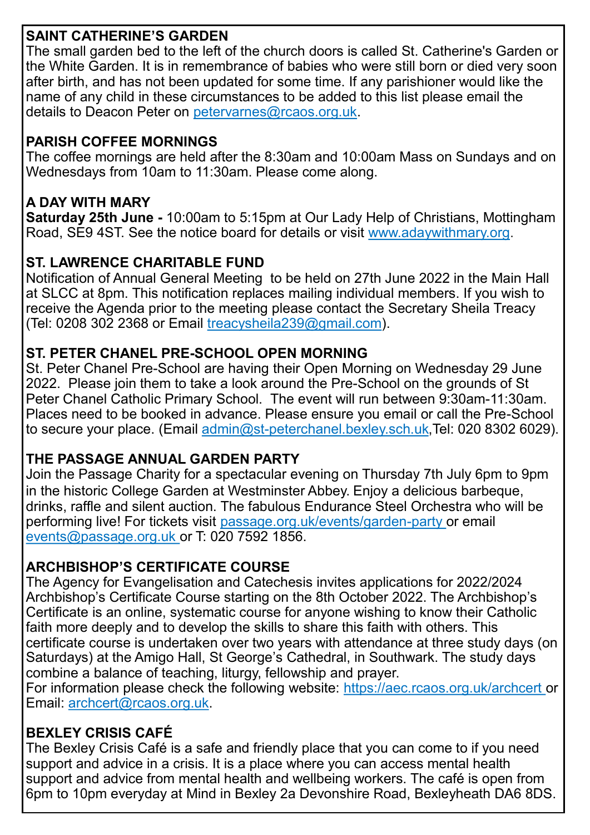# **SAINT CATHERINE'S GARDEN**

The small garden bed to the left of the church doors is called St. Catherine's Garden or the White Garden. It is in remembrance of babies who were still born or died very soon after birth, and has not been updated for some time. If any parishioner would like the name of any child in these circumstances to be added to this list please email the details to Deacon Peter on petervarnes@rcaos.org.uk.

### **PARISH COFFEE MORNINGS**

The coffee mornings are held after the 8:30am and 10:00am Mass on Sundays and on Wednesdays from 10am to 11:30am. Please come along.

### **A DAY WITH MARY**

**Saturday 25th June -** 10:00am to 5:15pm at Our Lady Help of Christians, Mottingham Road, SE9 4ST. See the notice board for details or visit www.adaywithmary.org.

#### **ST. LAWRENCE CHARITABLE FUND**

Notification of Annual General Meeting to be held on 27th June 2022 in the Main Hall at SLCC at 8pm. This notification replaces mailing individual members. If you wish to receive the Agenda prior to the meeting please contact the Secretary Sheila Treacy (Tel: 0208 302 2368 or Email treacysheila  $239$ @gmail.com).

#### **ST. PETER CHANEL PRE-SCHOOL OPEN MORNING**

St. Peter Chanel Pre-School are having their Open Morning on Wednesday 29 June 2022. Please join them to take a look around the Pre-School on the grounds of St Peter Chanel Catholic Primary School. The event will run between 9:30am-11:30am. Places need to be booked in advance. Please ensure you email or call the Pre-School to secure your place. (Email admin@st-[peterchanel.bexley.sch.uk,T](mailto:admin@st-peterchanel.bexley.sch.uk)el: 020 8302 6029).

# **THE PASSAGE ANNUAL GARDEN PARTY**

[Join the Passage Charity for a spectacular evening](https://ww1.emma-live.com/passagegardenparty/?purchase_tickets) on Thursday 7th July 6pm to 9pm in the historic College Garden at Westminster Abbey. Enjoy a delicious barbeque, drinks, raffle and silent auction. The fabulous Endurance Steel Orchestra who will be performing live! For tickets visit passage.org.uk/events/garden-party or email events@passage.org.uk or T: 020 7592 1856.

# **ARCHBISHOP'S CERTIFICATE COURSE**

The Agency for Evangelisation and Catechesis invites applications for 2022/2024 Archbishop's Certificate Course starting on the 8th October 2022. The Archbishop's Certificate is an online, systematic course for anyone wishing to know their Catholic faith more deeply and to develop the skills to share this faith with others. This certificate course is undertaken over two years with attendance at three study days (on Saturdays) at the Amigo Hall, St George's Cathedral, in Southwark. The study days combine a balance of teaching, liturgy, fellowship and prayer.

For information please check the following website: https://aec.rcaos.org.uk/archcert or Email: archcert@rcaos.org.uk.

# **BEXLEY CRISIS CAFÉ**

The Bexley Crisis Café is a safe and friendly place that you can come to if you need support and advice in a crisis. It is a place where you can access mental health support and advice from mental health and wellbeing workers. The café is open from 6pm to 10pm everyday at Mind in Bexley 2a Devonshire Road, Bexleyheath DA6 8DS.